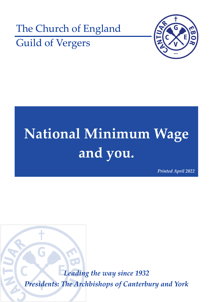



# **National Minimum Wage and you.**

*Printed April 2022*

*Leading the way since 1932 Presidents: The Archbishops of Canterbury and York*

G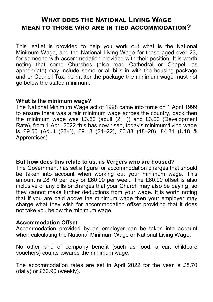# **What does the National Living Wage mean to those who are in tied accommodation?**

This leaflet is provided to help you work out what is the National Minimum Wage, and the National Living Wage for those aged over 23, for someone with accommodation provided with their position. It is worth noting that some Churches (also read Cathedral or Chapel, as appropriate) may include some or all bills in with the housing package and or Council Tax, no matter the package the minimum wage must not go below the stated minimum.

#### **What is the minimum wage?**

The National Minimum Wage act of 1998 came into force on 1 April 1999 to ensure there was a fair minimum wage across the country, back then the minimum wage was £3.60 (adult  $(21+)$ ) and £3.00 (Development Rate), from 1 April 2022 this has now risen, today's minimum/living wage is £9.50 (Adult (23+)), £9.18 (21–22), £6.83 (18–20), £4.81 (U18 & Apprentices).

## **But how does this relate to us, as Vergers who are housed?**

The Government has set a figure for accommodation charges that should be taken into account when working out your minimum wage. This amount is £8.70 per day or £60.90 per week. The £60.90 offset is also inclusive of any bills or charges that your Church may also be paying, so they cannot make further deductions from your wage. It is worth noting that if you are paid above the minimum wage then your employer may charge what they wish for accommodation offset providing that it does not take you below the minimum wage.

#### **Accommodation Offset**

Accommodation provided by an employer can be taken into account when calculating the National Minimum Wage or National Living Wage.

No other kind of company benefit (such as food, a car, childcare vouchers) counts towards the minimum wage.

The accommodation rates are set in April 2022 for the year is £8.70 (daily) or £60.90 (weekly).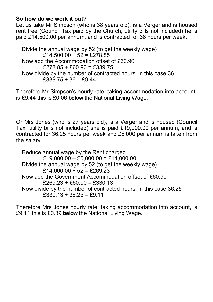# **So how do we work it out?**

Let us take Mr Simpson (who is 38 years old), is a Verger and is housed rent free (Council Tax paid by the Church, utility bills not included) he is paid £14,500.00 per annum, and is contracted for 36 hours per week.

Divide the annual wage by 52 (to get the weekly wage) £14,500.00 ÷ 52 = £278.85 Now add the Accommodation offset of £60.90  $£278.85 + £60.90 = £339.75$ Now divide by the number of contracted hours, in this case 36  $£339.75 \div 36 = £9.44$ 

Therefore Mr Simpson's hourly rate, taking accommodation into account, is £9.44 this is £0.06 **below** the National Living Wage.

Or Mrs Jones (who is 27 years old), is a Verger and is housed (Council Tax, utility bills not included) she is paid £19,000.00 per annum, and is contracted for 36.25 hours per week and £5,000 per annum is taken from the salary.

Reduce annual wage by the Rent charged  $£19,000.00 - £5,000.00 = £14,000.00$ Divide the annual wage by 52 (to get the weekly wage) £14,000.00 ÷ 52 = £269.23 Now add the Government Accommodation offset of £60.90  $£269.23 + £60.90 = £330.13$ Now divide by the number of contracted hours, in this case 36.25  $£330.13 \div 36.25 = £9.11$ 

Therefore Mrs Jones hourly rate, taking accommodation into account, is £9.11 this is £0.39 **below** the National Living Wage.